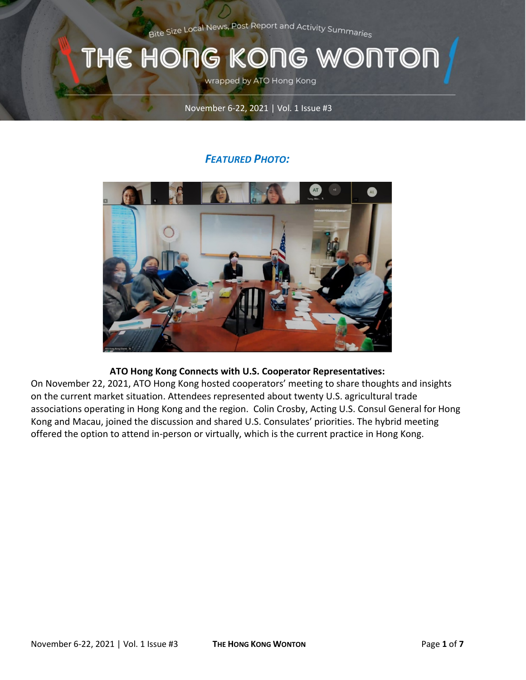Bite Size Local News, Post Report and Activity Summaries

# WONTOI THE HONG KONG

wrapped by ATO Hong Kong

#### November 6-22, 2021 | Vol. 1 Issue #3

### *FEATURED PHOTO:*



#### **ATO Hong Kong Connects with U.S. Cooperator Representatives:**

On November 22, 2021, ATO Hong Kong hosted cooperators' meeting to share thoughts and insights on the current market situation. Attendees represented about twenty U.S. agricultural trade associations operating in Hong Kong and the region. Colin Crosby, Acting U.S. Consul General for Hong Kong and Macau, joined the discussion and shared U.S. Consulates' priorities. The hybrid meeting offered the option to attend in-person or virtually, which is the current practice in Hong Kong.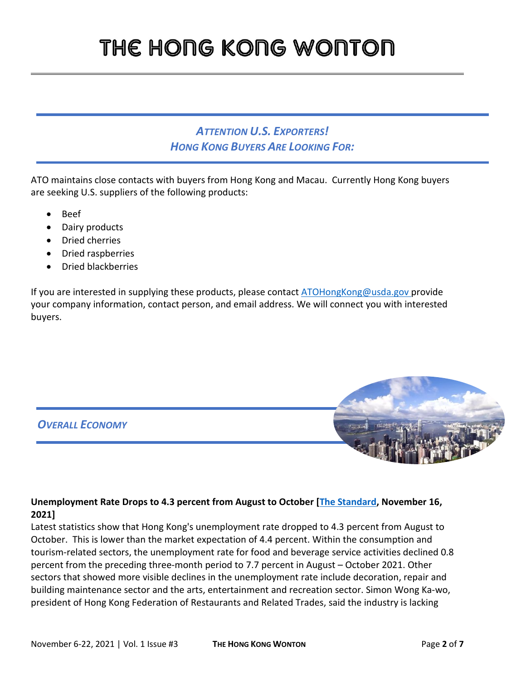## *ATTENTION U.S. EXPORTERS! HONG KONG BUYERS ARE LOOKING FOR:*

ATO maintains close contacts with buyers from Hong Kong and Macau. Currently Hong Kong buyers are seeking U.S. suppliers of the following products:

- Beef
- Dairy products
- Dried cherries
- Dried raspberries
- Dried blackberries

If you are interested in supplying these products, please contac[t ATOHongKong@usda.gov](mailto:ATOHongKong@usda.gov) provide your company information, contact person, and email address. We will connect you with interested buyers.

*OVERALL ECONOMY*

#### **Unemployment Rate Drops to 4.3 percent from August to October [\[The Standard,](https://www.thestandard.com.hk/breaking-news/section/4/183018/Unemployment-rate-drops-to-4.3-percent-in-August-to-October) November 16, 2021]**

Latest statistics show that Hong Kong's unemployment rate dropped to 4.3 percent from August to October. This is lower than the market expectation of 4.4 percent. Within the consumption and tourism-related sectors, the unemployment rate for food and beverage service activities declined 0.8 percent from the preceding three-month period to 7.7 percent in August – October 2021. Other sectors that showed more visible declines in the unemployment rate include decoration, repair and building maintenance sector and the arts, entertainment and recreation sector. Simon Wong Ka-wo, president of Hong Kong Federation of Restaurants and Related Trades, said the industry is lacking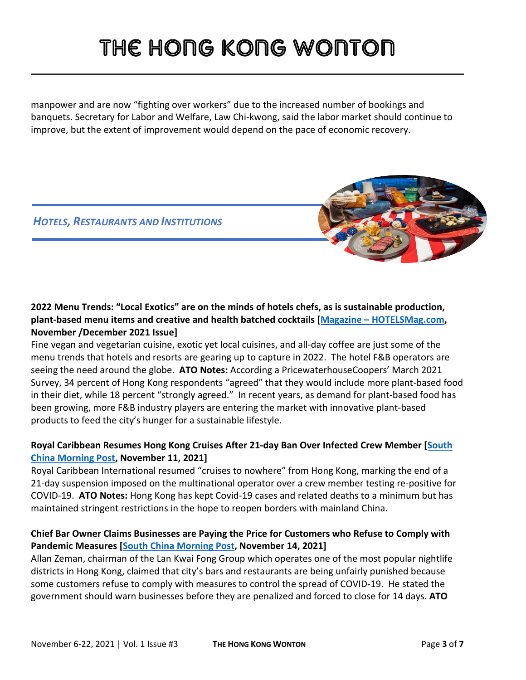manpower and are now "fighting over workers" due to the increased number of bookings and banquets. Secretary for Labor and Welfare, Law Chi-kwong, said the labor market should continue to improve, but the extent of improvement would depend on the pace of economic recovery.

*HOTELS, RESTAURANTS AND INSTITUTIONS*

# **2022 Menu Trends: "Local Exotics" are on the minds of hotels chefs, as is sustainable production, plant-based menu items and creative and health batched cocktails [Magazine – [HOTELSMag.com,](https://library.hotelsmag.com/publication/?m=18556&i=728169&p=106&ver=html5)**

### **November /December 2021 Issue]**

Fine vegan and vegetarian cuisine, exotic yet local cuisines, and all-day coffee are just some of the menu trends that hotels and resorts are gearing up to capture in 2022. The hotel F&B operators are seeing the need around the globe. **ATO Notes:** According a PricewaterhouseCoopers' March 2021 Survey, 34 percent of Hong Kong respondents "agreed" that they would include more plant-based food in their diet, while 18 percent "strongly agreed." In recent years, as demand for plant-based food has been growing, more F&B industry players are entering the market with innovative plant-based products to feed the city's hunger for a sustainable lifestyle.

### **Royal Caribbean Resumes Hong Kong Cruises After 21-day Ban Over Infected Crew Member [\[South](https://www.scmp.com/news/hong-kong/hong-kong-economy/article/3155709/coronavirus-royal-caribbean-resume-hong-kong)  [China Morning Post,](https://www.scmp.com/news/hong-kong/hong-kong-economy/article/3155709/coronavirus-royal-caribbean-resume-hong-kong) November 11, 2021]**

Royal Caribbean International resumed ["cruises to nowhere"](https://www.scmp.com/news/hong-kong/hong-kong-economy/article/3147214/operator-hong-kongs-cruises-nowhere-lobby-higher?module=inline&pgtype=article) from Hong Kong, marking the end of a 21-day suspension imposed on the multinational operator over a crew member testing re-positive for COVID-19. **ATO Notes:** Hong Kong has kept Covid-19 cases and related deaths to a minimum but has maintained stringent restrictions in the hope to reopen borders with mainland China.

### **Chief Bar Owner Claims Businesses are Paying the Price for Customers who Refuse to Comply with Pandemic Measures [\[South China Morning Post,](https://www.scmp.com/news/hong-kong/politics/article/3155984/coronavirus-hong-kongs-bars-and-restaurants-being-unfairly) November 14, 2021]**

Allan Zeman, chairman of the Lan Kwai Fong Group which operates one of the most popular nightlife districts in Hong Kong, claimed that city's bars and restaurants are being unfairly punished because some customers refuse to comply with measures to control the spread of COVID-19. He stated the government should warn businesses before they are penalized and forced to close for 14 days. **ATO**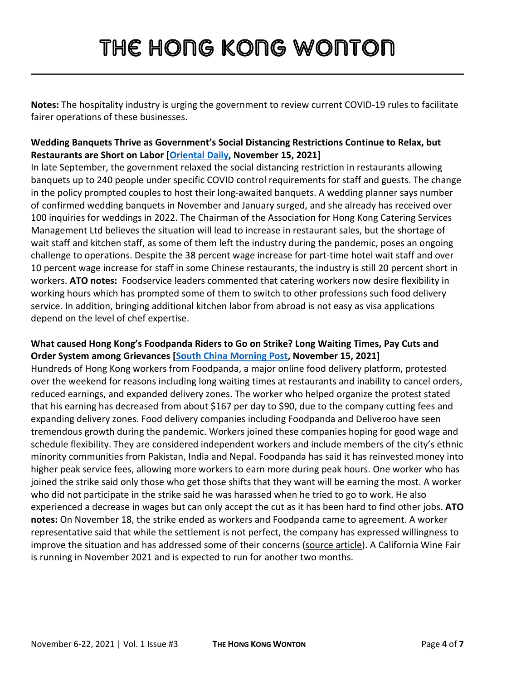**Notes:** The hospitality industry is urging the government to review current COVID-19 rules to facilitate fairer operations of these businesses.

### **Wedding Banquets Thrive as Government's Social Distancing Restrictions Continue to Relax, but Restaurants are Short on Labor [\[Oriental Daily,](https://orientaldaily.on.cc/content/%E8%A6%81%E8%81%9E%E6%B8%AF%E8%81%9E/odn-20211115-1115_00176_021/%E9%80%90%E6%AD%A5%E8%A7%A3%E7%A6%81%E6%93%BA%E9%85%92%E5%8D%87%E6%BA%AB--%E6%8B%96%E8%BF%91%E5%85%A9%E5%B9%B4%E7%B5%82%E5%8F%AF%E7%B5%90%E5%A9%9A) November 15, 2021]**

In late September, the government relaxed the social distancing restriction in restaurants allowing banquets up to 240 people under specific COVID control requirements for staff and guests. The change in the policy prompted couples to host their long-awaited banquets. A wedding planner says number of confirmed wedding banquets in November and January surged, and she already has received over 100 inquiries for weddings in 2022. The Chairman of the Association for Hong Kong Catering Services Management Ltd believes the situation will lead to increase in restaurant sales, but the shortage of wait staff and kitchen staff, as some of them left the industry during the pandemic, poses an ongoing challenge to operations. Despite the 38 percent wage increase for part-time hotel wait staff and over 10 percent wage increase for staff in some Chinese restaurants, the industry is still 20 percent short in workers. **ATO notes:** Foodservice leaders commented that catering workers now desire flexibility in working hours which has prompted some of them to switch to other professions such food delivery service. In addition, bringing additional kitchen labor from abroad is not easy as visa applications depend on the level of chef expertise.

#### **What caused Hong Kong's Foodpanda Riders to Go on Strike? Long Waiting Times, Pay Cuts and Order System among Grievances [\[South China Morning Post,](https://www.scmp.com/news/hong-kong/transport/article/3156153/what-caused-hong-kongs-foodpanda-riders-go-strike-long?module=perpetual_scroll&pgtype=article&campaign=3156153) November 15, 2021]**

Hundreds of Hong Kong workers from Foodpanda, a major online food delivery platform, protested over the weekend for reasons including long waiting times at restaurants and inability to cancel orders, reduced earnings, and expanded delivery zones. The worker who helped organize the protest stated that his earning has decreased from about \$167 per day to \$90, due to the company cutting fees and expanding delivery zones. Food delivery companies including Foodpanda and Deliveroo have seen tremendous growth during the pandemic. Workers joined these companies hoping for good wage and schedule flexibility. They are considered independent workers and include members of the city's ethnic minority communities from Pakistan, India and Nepal. Foodpanda has said it has reinvested money into higher peak service fees, allowing more workers to earn more during peak hours. One worker who has joined the strike said only those who get those shifts that they want will be earning the most. A worker who did not participate in the strike said he was harassed when he tried to go to work. He also experienced a decrease in wages but can only accept the cut as it has been hard to find other jobs. **ATO notes:** On November 18, the strike ended as workers and Foodpanda came to agreement. A worker representative said that while the settlement is not perfect, the company has expressed willingness to improve the situation and has addressed some of their concerns [\(source article\)](https://news.rthk.hk/rthk/ch/component/k2/1620457-20211118.htm?spTabChangeable=0). A California Wine Fair is running in November 2021 and is expected to run for another two months.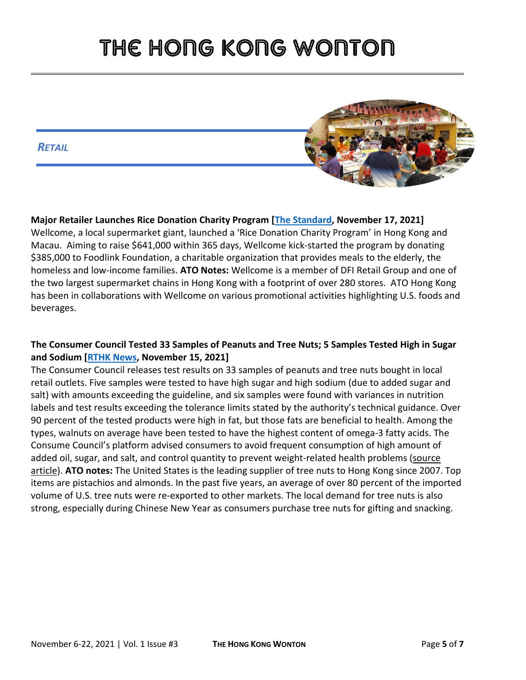#### *RETAIL*



**Major Retailer Launches Rice Donation Charity Program [\[The Standard,](https://gcc02.safelinks.protection.outlook.com/?url=https%3A%2F%2Fwww.thestandard.com.hk%2Fbreaking-news%2Fsection%2F4%2F183016%2FWellcome-launches-Rice-Donation-Charity-Programme-to-raise-HKD%245-million-for-Foodlink&data=04%7C01%7CLeungAY%40state.gov%7C2c29734d90864fc068b708d9a97376ab%7C66cf50745afe48d1a691a12b2121f44b%7C0%7C0%7C637727135636842222%7CUnknown%7CTWFpbGZsb3d8eyJWIjoiMC4wLjAwMDAiLCJQIjoiV2luMzIiLCJBTiI6Ik1haWwiLCJXVCI6Mn0%3D%7C3000&sdata=xDPCxZBgtdxBBGn4ZfgHVHufn2BiKZ8dl%2Fh%2BI8E5U0w%3D&reserved=0) November 17, 2021]**  Wellcome, a local supermarket giant, launched a 'Rice Donation Charity Program' in Hong Kong and Macau. Aiming to raise \$641,000 within 365 days, Wellcome kick-started the program by donating \$385,000 to Foodlink Foundation, a charitable organization that provides meals to the elderly, the homeless and low-income families. **ATO Notes:** Wellcome is a member of DFI Retail Group and one of the two largest supermarket chains in Hong Kong with a footprint of over 280 stores. ATO Hong Kong has been in collaborations with Wellcome on various promotional activities highlighting U.S. foods and beverages.

### **The Consumer Council Tested 33 Samples of Peanuts and Tree Nuts; 5 Samples Tested High in Sugar and Sodium [\[RTHK News,](https://news.rthk.hk/rthk/ch/component/k2/1619836-20211115.htm) November 15, 2021]**

The Consumer Council releases test results on 33 samples of peanuts and tree nuts bought in local retail outlets. Five samples were tested to have high sugar and high sodium (due to added sugar and salt) with amounts exceeding the guideline, and six samples were found with variances in nutrition labels and test results exceeding the tolerance limits stated by the authority's technical guidance. Over 90 percent of the tested products were high in fat, but those fats are beneficial to health. Among the types, walnuts on average have been tested to have the highest content of omega-3 fatty acids. The Consume Council's platform advised consumers to avoid frequent consumption of high amount of added oil, sugar, and salt, and control quantity to prevent weight-related health problems [\(source](https://www.consumer.org.hk/tc/media-library/image/i-541-peanuts-nuts)  [article\)](https://www.consumer.org.hk/tc/media-library/image/i-541-peanuts-nuts). **ATO notes:** The United States is the leading supplier of tree nuts to Hong Kong since 2007. Top items are pistachios and almonds. In the past five years, an average of over 80 percent of the imported volume of U.S. tree nuts were re-exported to other markets. The local demand for tree nuts is also strong, especially during Chinese New Year as consumers purchase tree nuts for gifting and snacking.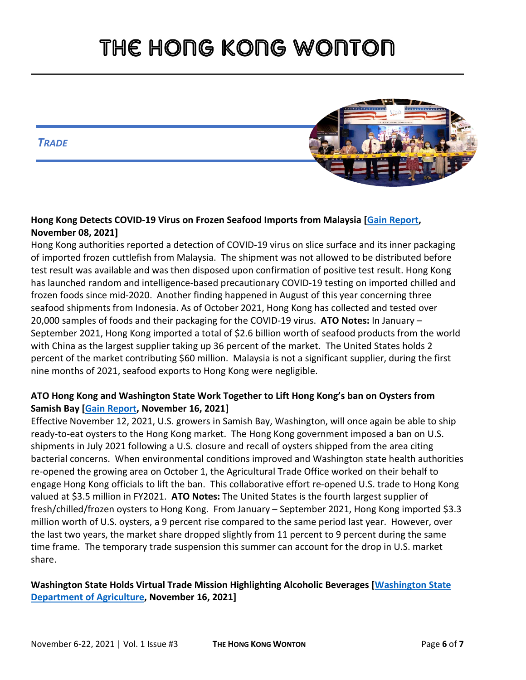*TRADE*



### **Hong Kong Detects COVID-19 Virus on Frozen Seafood Imports from Malaysia [\[Gain Report,](https://www.fas.usda.gov/data/hong-kong-hong-kong-detects-covid-19-virus-frozen-seafood-imports-malaysia) November 08, 2021]**

Hong Kong authorities reported a detection of COVID-19 virus on slice surface and its inner packaging of imported frozen cuttlefish from Malaysia. The shipment was not allowed to be distributed before test result was available and was then disposed upon confirmation of positive test result. Hong Kong has launched random and intelligence-based precautionary COVID-19 testing on imported chilled and frozen foods since mid-2020. Another finding happened in August of this year concerning three seafood shipments from Indonesia. As of October 2021, Hong Kong has collected and tested over 20,000 samples of foods and their packaging for the COVID-19 virus. **ATO Notes:** In January – September 2021, Hong Kong imported a total of \$2.6 billion worth of seafood products from the world with China as the largest supplier taking up 36 percent of the market. The United States holds 2 percent of the market contributing \$60 million. Malaysia is not a significant supplier, during the first nine months of 2021, seafood exports to Hong Kong were negligible.

### **ATO Hong Kong and Washington State Work Together to Lift Hong Kong's ban on Oysters from Samish Bay [\[Gain Report,](https://gcc02.safelinks.protection.outlook.com/?url=https%3A%2F%2Fwww.fas.usda.gov%2Fdata%2Fhong-kong-hong-kong-lifts-ban-oysters-samish-bay-washington-state&data=04%7C01%7CCleverJA%40state.gov%7C7e3235c6807e4849200708d9ae398f57%7C66cf50745afe48d1a691a12b2121f44b%7C0%7C0%7C637732384502200601%7CUnknown%7CTWFpbGZsb3d8eyJWIjoiMC4wLjAwMDAiLCJQIjoiV2luMzIiLCJBTiI6Ik1haWwiLCJXVCI6Mn0%3D%7C3000&sdata=kVXXC0%2FxQbjYpxnJ6o9RcyVpv%2FKWZVvcgD%2BQ6JWg4jA%3D&reserved=0) November 16, 2021]**

Effective November 12, 2021, U.S. growers in Samish Bay, Washington, will once again be able to ship ready-to-eat oysters to the Hong Kong market. The Hong Kong government imposed a ban on U.S. shipments in July 2021 following a U.S. closure and recall of oysters shipped from the area citing bacterial concerns. When environmental conditions improved and Washington state health authorities re-opened the growing area on October 1, the Agricultural Trade Office worked on their behalf to engage Hong Kong officials to lift the ban. This collaborative effort re-opened U.S. trade to Hong Kong valued at \$3.5 million in FY2021. **ATO Notes:** The United States is the fourth largest supplier of fresh/chilled/frozen oysters to Hong Kong. From January – September 2021, Hong Kong imported \$3.3 million worth of U.S. oysters, a 9 percent rise compared to the same period last year. However, over the last two years, the market share dropped slightly from 11 percent to 9 percent during the same time frame. The temporary trade suspension this summer can account for the drop in U.S. market share.

### **Washington State Holds Virtual Trade Mission Highlighting Alcoholic Beverages [\[Washington State](https://agr.wa.gov/departments/business-and-marketing-support/international/activities)  [Department of Agriculture,](https://agr.wa.gov/departments/business-and-marketing-support/international/activities) November 16, 2021]**